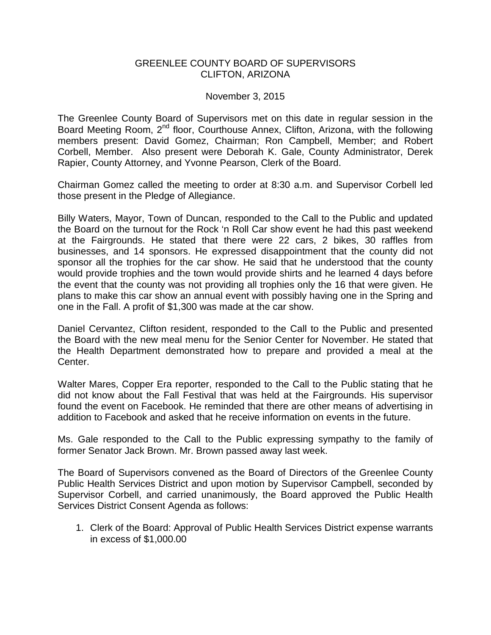## GREENLEE COUNTY BOARD OF SUPERVISORS CLIFTON, ARIZONA

## November 3, 2015

The Greenlee County Board of Supervisors met on this date in regular session in the Board Meeting Room, 2<sup>nd</sup> floor, Courthouse Annex, Clifton, Arizona, with the following members present: David Gomez, Chairman; Ron Campbell, Member; and Robert Corbell, Member. Also present were Deborah K. Gale, County Administrator, Derek Rapier, County Attorney, and Yvonne Pearson, Clerk of the Board.

Chairman Gomez called the meeting to order at 8:30 a.m. and Supervisor Corbell led those present in the Pledge of Allegiance.

Billy Waters, Mayor, Town of Duncan, responded to the Call to the Public and updated the Board on the turnout for the Rock 'n Roll Car show event he had this past weekend at the Fairgrounds. He stated that there were 22 cars, 2 bikes, 30 raffles from businesses, and 14 sponsors. He expressed disappointment that the county did not sponsor all the trophies for the car show. He said that he understood that the county would provide trophies and the town would provide shirts and he learned 4 days before the event that the county was not providing all trophies only the 16 that were given. He plans to make this car show an annual event with possibly having one in the Spring and one in the Fall. A profit of \$1,300 was made at the car show.

Daniel Cervantez, Clifton resident, responded to the Call to the Public and presented the Board with the new meal menu for the Senior Center for November. He stated that the Health Department demonstrated how to prepare and provided a meal at the Center.

Walter Mares, Copper Era reporter, responded to the Call to the Public stating that he did not know about the Fall Festival that was held at the Fairgrounds. His supervisor found the event on Facebook. He reminded that there are other means of advertising in addition to Facebook and asked that he receive information on events in the future.

Ms. Gale responded to the Call to the Public expressing sympathy to the family of former Senator Jack Brown. Mr. Brown passed away last week.

The Board of Supervisors convened as the Board of Directors of the Greenlee County Public Health Services District and upon motion by Supervisor Campbell, seconded by Supervisor Corbell, and carried unanimously, the Board approved the Public Health Services District Consent Agenda as follows:

1. Clerk of the Board: Approval of Public Health Services District expense warrants in excess of \$1,000.00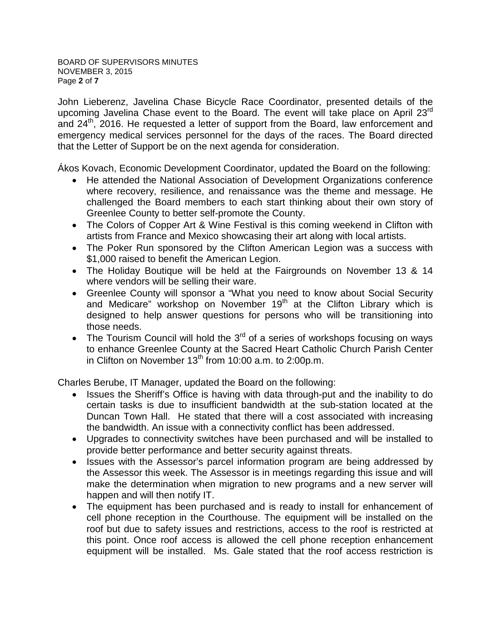John Lieberenz, Javelina Chase Bicycle Race Coordinator, presented details of the upcoming Javelina Chase event to the Board. The event will take place on April 23<sup>rd</sup> and 24<sup>th</sup>, 2016. He requested a letter of support from the Board, law enforcement and emergency medical services personnel for the days of the races. The Board directed that the Letter of Support be on the next agenda for consideration.

Ákos Kovach, Economic Development Coordinator, updated the Board on the following:

- He attended the National Association of Development Organizations conference where recovery, resilience, and renaissance was the theme and message. He challenged the Board members to each start thinking about their own story of Greenlee County to better self-promote the County.
- The Colors of Copper Art & Wine Festival is this coming weekend in Clifton with artists from France and Mexico showcasing their art along with local artists.
- The Poker Run sponsored by the Clifton American Legion was a success with \$1,000 raised to benefit the American Legion.
- The Holiday Boutique will be held at the Fairgrounds on November 13 & 14 where vendors will be selling their ware.
- Greenlee County will sponsor a "What you need to know about Social Security and Medicare" workshop on November  $19<sup>th</sup>$  at the Clifton Library which is designed to help answer questions for persons who will be transitioning into those needs.
- The Tourism Council will hold the  $3^{rd}$  of a series of workshops focusing on ways to enhance Greenlee County at the Sacred Heart Catholic Church Parish Center in Clifton on November  $13<sup>th</sup>$  from 10:00 a.m. to 2:00p.m.

Charles Berube, IT Manager, updated the Board on the following:

- Issues the Sheriff's Office is having with data through-put and the inability to do certain tasks is due to insufficient bandwidth at the sub-station located at the Duncan Town Hall. He stated that there will a cost associated with increasing the bandwidth. An issue with a connectivity conflict has been addressed.
- Upgrades to connectivity switches have been purchased and will be installed to provide better performance and better security against threats.
- Issues with the Assessor's parcel information program are being addressed by the Assessor this week. The Assessor is in meetings regarding this issue and will make the determination when migration to new programs and a new server will happen and will then notify IT.
- The equipment has been purchased and is ready to install for enhancement of cell phone reception in the Courthouse. The equipment will be installed on the roof but due to safety issues and restrictions, access to the roof is restricted at this point. Once roof access is allowed the cell phone reception enhancement equipment will be installed. Ms. Gale stated that the roof access restriction is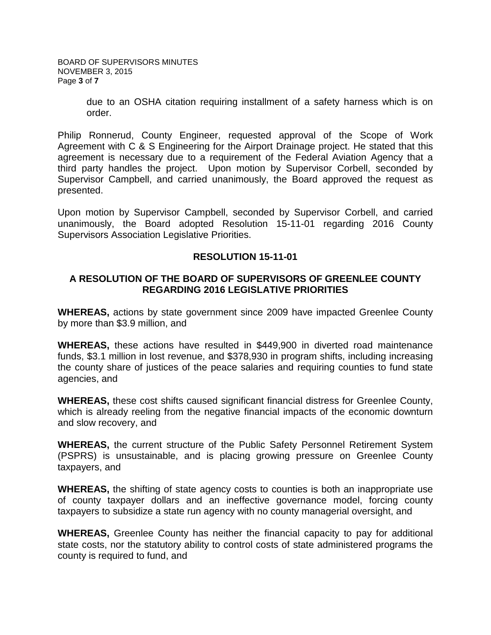BOARD OF SUPERVISORS MINUTES NOVEMBER 3, 2015 Page **3** of **7**

> due to an OSHA citation requiring installment of a safety harness which is on order.

Philip Ronnerud, County Engineer, requested approval of the Scope of Work Agreement with C & S Engineering for the Airport Drainage project. He stated that this agreement is necessary due to a requirement of the Federal Aviation Agency that a third party handles the project. Upon motion by Supervisor Corbell, seconded by Supervisor Campbell, and carried unanimously, the Board approved the request as presented.

Upon motion by Supervisor Campbell, seconded by Supervisor Corbell, and carried unanimously, the Board adopted Resolution 15-11-01 regarding 2016 County Supervisors Association Legislative Priorities.

## **RESOLUTION 15-11-01**

# **A RESOLUTION OF THE BOARD OF SUPERVISORS OF GREENLEE COUNTY REGARDING 2016 LEGISLATIVE PRIORITIES**

**WHEREAS,** actions by state government since 2009 have impacted Greenlee County by more than \$3.9 million, and

**WHEREAS,** these actions have resulted in \$449,900 in diverted road maintenance funds, \$3.1 million in lost revenue, and \$378,930 in program shifts, including increasing the county share of justices of the peace salaries and requiring counties to fund state agencies, and

**WHEREAS,** these cost shifts caused significant financial distress for Greenlee County, which is already reeling from the negative financial impacts of the economic downturn and slow recovery, and

**WHEREAS,** the current structure of the Public Safety Personnel Retirement System (PSPRS) is unsustainable, and is placing growing pressure on Greenlee County taxpayers, and

**WHEREAS,** the shifting of state agency costs to counties is both an inappropriate use of county taxpayer dollars and an ineffective governance model, forcing county taxpayers to subsidize a state run agency with no county managerial oversight, and

**WHEREAS,** Greenlee County has neither the financial capacity to pay for additional state costs, nor the statutory ability to control costs of state administered programs the county is required to fund, and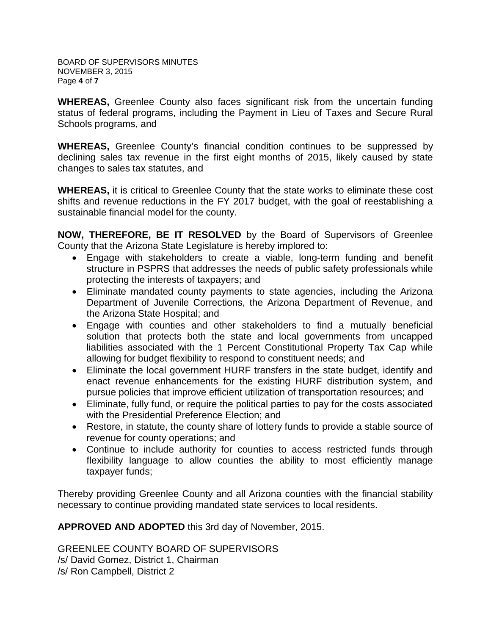BOARD OF SUPERVISORS MINUTES NOVEMBER 3, 2015 Page **4** of **7**

**WHEREAS,** Greenlee County also faces significant risk from the uncertain funding status of federal programs, including the Payment in Lieu of Taxes and Secure Rural Schools programs, and

**WHEREAS,** Greenlee County's financial condition continues to be suppressed by declining sales tax revenue in the first eight months of 2015, likely caused by state changes to sales tax statutes, and

**WHEREAS,** it is critical to Greenlee County that the state works to eliminate these cost shifts and revenue reductions in the FY 2017 budget, with the goal of reestablishing a sustainable financial model for the county.

**NOW, THEREFORE, BE IT RESOLVED** by the Board of Supervisors of Greenlee County that the Arizona State Legislature is hereby implored to:

- Engage with stakeholders to create a viable, long-term funding and benefit structure in PSPRS that addresses the needs of public safety professionals while protecting the interests of taxpayers; and
- Eliminate mandated county payments to state agencies, including the Arizona Department of Juvenile Corrections, the Arizona Department of Revenue, and the Arizona State Hospital; and
- Engage with counties and other stakeholders to find a mutually beneficial solution that protects both the state and local governments from uncapped liabilities associated with the 1 Percent Constitutional Property Tax Cap while allowing for budget flexibility to respond to constituent needs; and
- Eliminate the local government HURF transfers in the state budget, identify and enact revenue enhancements for the existing HURF distribution system, and pursue policies that improve efficient utilization of transportation resources; and
- Eliminate, fully fund, or require the political parties to pay for the costs associated with the Presidential Preference Election; and
- Restore, in statute, the county share of lottery funds to provide a stable source of revenue for county operations; and
- Continue to include authority for counties to access restricted funds through flexibility language to allow counties the ability to most efficiently manage taxpayer funds;

Thereby providing Greenlee County and all Arizona counties with the financial stability necessary to continue providing mandated state services to local residents.

**APPROVED AND ADOPTED** this 3rd day of November, 2015.

GREENLEE COUNTY BOARD OF SUPERVISORS /s/ David Gomez, District 1, Chairman /s/ Ron Campbell, District 2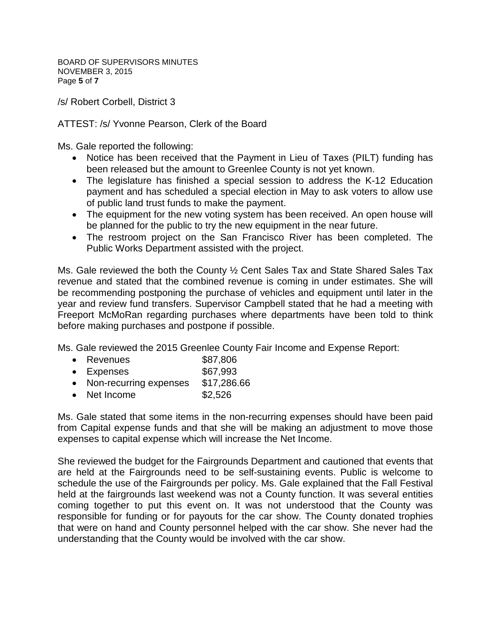BOARD OF SUPERVISORS MINUTES NOVEMBER 3, 2015 Page **5** of **7**

/s/ Robert Corbell, District 3

ATTEST: /s/ Yvonne Pearson, Clerk of the Board

Ms. Gale reported the following:

- Notice has been received that the Payment in Lieu of Taxes (PILT) funding has been released but the amount to Greenlee County is not yet known.
- The legislature has finished a special session to address the K-12 Education payment and has scheduled a special election in May to ask voters to allow use of public land trust funds to make the payment.
- The equipment for the new voting system has been received. An open house will be planned for the public to try the new equipment in the near future.
- The restroom project on the San Francisco River has been completed. The Public Works Department assisted with the project.

Ms. Gale reviewed the both the County ½ Cent Sales Tax and State Shared Sales Tax revenue and stated that the combined revenue is coming in under estimates. She will be recommending postponing the purchase of vehicles and equipment until later in the year and review fund transfers. Supervisor Campbell stated that he had a meeting with Freeport McMoRan regarding purchases where departments have been told to think before making purchases and postpone if possible.

Ms. Gale reviewed the 2015 Greenlee County Fair Income and Expense Report:

- Revenues \$87,806
- Expenses \$67,993
- Non-recurring expenses \$17,286.66
- Net Income \$2,526

Ms. Gale stated that some items in the non-recurring expenses should have been paid from Capital expense funds and that she will be making an adjustment to move those expenses to capital expense which will increase the Net Income.

She reviewed the budget for the Fairgrounds Department and cautioned that events that are held at the Fairgrounds need to be self-sustaining events. Public is welcome to schedule the use of the Fairgrounds per policy. Ms. Gale explained that the Fall Festival held at the fairgrounds last weekend was not a County function. It was several entities coming together to put this event on. It was not understood that the County was responsible for funding or for payouts for the car show. The County donated trophies that were on hand and County personnel helped with the car show. She never had the understanding that the County would be involved with the car show.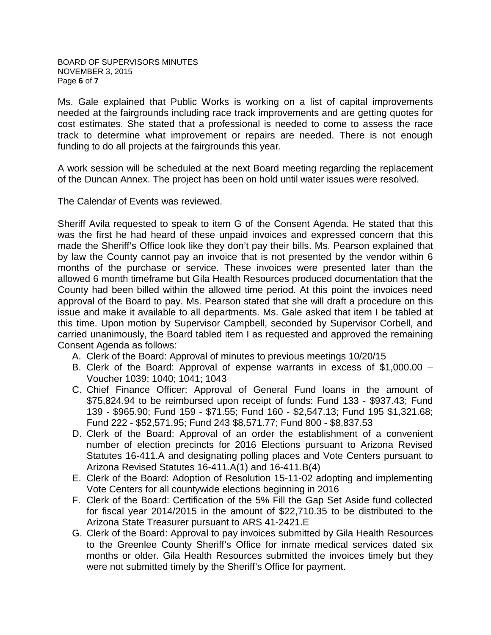Ms. Gale explained that Public Works is working on a list of capital improvements needed at the fairgrounds including race track improvements and are getting quotes for cost estimates. She stated that a professional is needed to come to assess the race track to determine what improvement or repairs are needed. There is not enough funding to do all projects at the fairgrounds this year.

A work session will be scheduled at the next Board meeting regarding the replacement of the Duncan Annex. The project has been on hold until water issues were resolved.

The Calendar of Events was reviewed.

Sheriff Avila requested to speak to item G of the Consent Agenda. He stated that this was the first he had heard of these unpaid invoices and expressed concern that this made the Sheriff's Office look like they don't pay their bills. Ms. Pearson explained that by law the County cannot pay an invoice that is not presented by the vendor within 6 months of the purchase or service. These invoices were presented later than the allowed 6 month timeframe but Gila Health Resources produced documentation that the County had been billed within the allowed time period. At this point the invoices need approval of the Board to pay. Ms. Pearson stated that she will draft a procedure on this issue and make it available to all departments. Ms. Gale asked that item I be tabled at this time. Upon motion by Supervisor Campbell, seconded by Supervisor Corbell, and carried unanimously, the Board tabled item I as requested and approved the remaining Consent Agenda as follows:

- A. Clerk of the Board: Approval of minutes to previous meetings 10/20/15
- B. Clerk of the Board: Approval of expense warrants in excess of \$1,000.00 Voucher 1039; 1040; 1041; 1043
- C. Chief Finance Officer: Approval of General Fund loans in the amount of \$75,824.94 to be reimbursed upon receipt of funds: Fund 133 - \$937.43; Fund 139 - \$965.90; Fund 159 - \$71.55; Fund 160 - \$2,547.13; Fund 195 \$1,321.68; Fund 222 - \$52,571.95; Fund 243 \$8,571.77; Fund 800 - \$8,837.53
- D. Clerk of the Board: Approval of an order the establishment of a convenient number of election precincts for 2016 Elections pursuant to Arizona Revised Statutes 16-411.A and designating polling places and Vote Centers pursuant to Arizona Revised Statutes 16-411.A(1) and 16-411.B(4)
- E. Clerk of the Board: Adoption of Resolution 15-11-02 adopting and implementing Vote Centers for all countywide elections beginning in 2016
- F. Clerk of the Board: Certification of the 5% Fill the Gap Set Aside fund collected for fiscal year 2014/2015 in the amount of \$22,710.35 to be distributed to the Arizona State Treasurer pursuant to ARS 41-2421.E
- G. Clerk of the Board: Approval to pay invoices submitted by Gila Health Resources to the Greenlee County Sheriff's Office for inmate medical services dated six months or older. Gila Health Resources submitted the invoices timely but they were not submitted timely by the Sheriff's Office for payment.